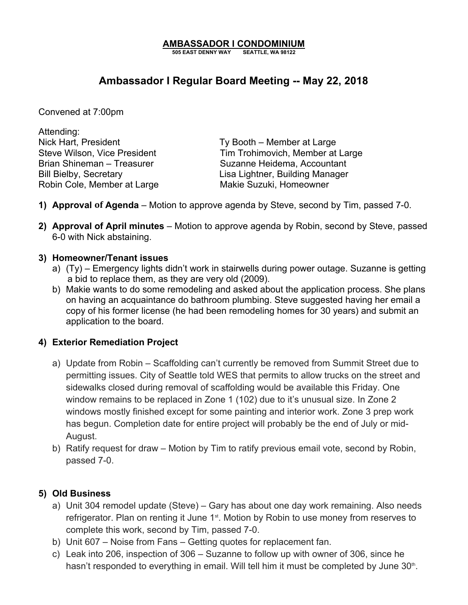## **AMBASSADOR I CONDOMINIUM**

**505 EAST DENNY WAY SEATTLE, WA 98122**

# **Ambassador I Regular Board Meeting -- May 22, 2018**

Convened at 7:00pm

Attending: Nick Hart, President Ty Booth – Member at Large Robin Cole, Member at Large Makie Suzuki, Homeowner

Steve Wilson, Vice President Tim Trohimovich, Member at Large Brian Shineman – Treasurer Suzanne Heidema, Accountant Bill Bielby, Secretary **Lisa Lightner**, Building Manager

- **1) Approval of Agenda** Motion to approve agenda by Steve, second by Tim, passed 7-0.
- **2) Approval of April minutes** Motion to approve agenda by Robin, second by Steve, passed 6-0 with Nick abstaining.

#### **3) Homeowner/Tenant issues**

- a) (Ty) Emergency lights didn't work in stairwells during power outage. Suzanne is getting a bid to replace them, as they are very old (2009).
- b) Makie wants to do some remodeling and asked about the application process. She plans on having an acquaintance do bathroom plumbing. Steve suggested having her email a copy of his former license (he had been remodeling homes for 30 years) and submit an application to the board.

### **4) Exterior Remediation Project**

- a) Update from Robin Scaffolding can't currently be removed from Summit Street due to permitting issues. City of Seattle told WES that permits to allow trucks on the street and sidewalks closed during removal of scaffolding would be available this Friday. One window remains to be replaced in Zone 1 (102) due to it's unusual size. In Zone 2 windows mostly finished except for some painting and interior work. Zone 3 prep work has begun. Completion date for entire project will probably be the end of July or mid-August.
- b) Ratify request for draw Motion by Tim to ratify previous email vote, second by Robin, passed 7-0.

### **5) Old Business**

- a) Unit 304 remodel update (Steve) Gary has about one day work remaining. Also needs refrigerator. Plan on renting it June 1<sup>st</sup>. Motion by Robin to use money from reserves to complete this work, second by Tim, passed 7-0.
- b) Unit 607 Noise from Fans Getting quotes for replacement fan.
- c) Leak into 206, inspection of 306 Suzanne to follow up with owner of 306, since he hasn't responded to everything in email. Will tell him it must be completed by June 30<sup>th</sup>.